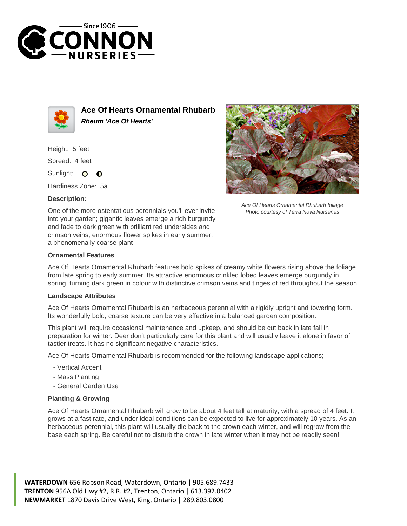



**Ace Of Hearts Ornamental Rhubarb Rheum 'Ace Of Hearts'**

Height: 5 feet

Spread: 4 feet

Sunlight: O ∩

Hardiness Zone: 5a

## **Description:**



Ace Of Hearts Ornamental Rhubarb foliage Photo courtesy of Terra Nova Nurseries

One of the more ostentatious perennials you'll ever invite into your garden; gigantic leaves emerge a rich burgundy and fade to dark green with brilliant red undersides and crimson veins, enormous flower spikes in early summer, a phenomenally coarse plant

## **Ornamental Features**

Ace Of Hearts Ornamental Rhubarb features bold spikes of creamy white flowers rising above the foliage from late spring to early summer. Its attractive enormous crinkled lobed leaves emerge burgundy in spring, turning dark green in colour with distinctive crimson veins and tinges of red throughout the season.

## **Landscape Attributes**

Ace Of Hearts Ornamental Rhubarb is an herbaceous perennial with a rigidly upright and towering form. Its wonderfully bold, coarse texture can be very effective in a balanced garden composition.

This plant will require occasional maintenance and upkeep, and should be cut back in late fall in preparation for winter. Deer don't particularly care for this plant and will usually leave it alone in favor of tastier treats. It has no significant negative characteristics.

Ace Of Hearts Ornamental Rhubarb is recommended for the following landscape applications;

- Vertical Accent
- Mass Planting
- General Garden Use

## **Planting & Growing**

Ace Of Hearts Ornamental Rhubarb will grow to be about 4 feet tall at maturity, with a spread of 4 feet. It grows at a fast rate, and under ideal conditions can be expected to live for approximately 10 years. As an herbaceous perennial, this plant will usually die back to the crown each winter, and will regrow from the base each spring. Be careful not to disturb the crown in late winter when it may not be readily seen!

**WATERDOWN** 656 Robson Road, Waterdown, Ontario | 905.689.7433 **TRENTON** 956A Old Hwy #2, R.R. #2, Trenton, Ontario | 613.392.0402 **NEWMARKET** 1870 Davis Drive West, King, Ontario | 289.803.0800